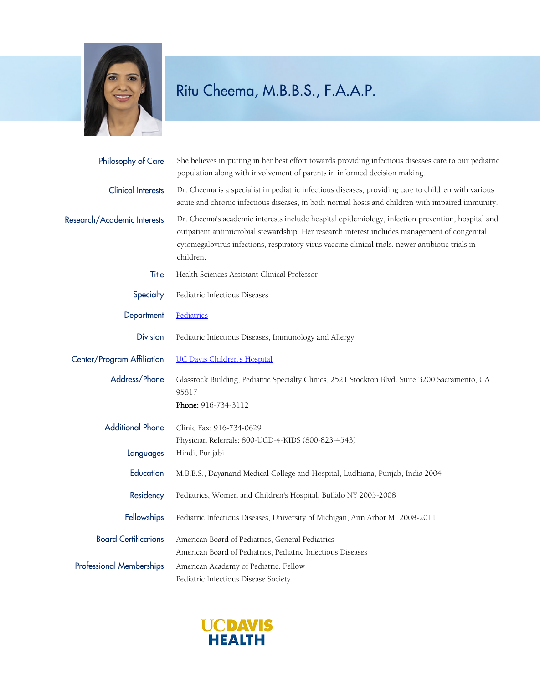

## Ritu Cheema, M.B.B.S., F.A.A.P.

| Philosophy of Care              | She believes in putting in her best effort towards providing infectious diseases care to our pediatric<br>population along with involvement of parents in informed decision making.                                                                                                                                  |
|---------------------------------|----------------------------------------------------------------------------------------------------------------------------------------------------------------------------------------------------------------------------------------------------------------------------------------------------------------------|
| <b>Clinical Interests</b>       | Dr. Cheema is a specialist in pediatric infectious diseases, providing care to children with various<br>acute and chronic infectious diseases, in both normal hosts and children with impaired immunity.                                                                                                             |
| Research/Academic Interests     | Dr. Cheema's academic interests include hospital epidemiology, infection prevention, hospital and<br>outpatient antimicrobial stewardship. Her research interest includes management of congenital<br>cytomegalovirus infections, respiratory virus vaccine clinical trials, newer antibiotic trials in<br>children. |
| Title                           | Health Sciences Assistant Clinical Professor                                                                                                                                                                                                                                                                         |
| Specialty                       | Pediatric Infectious Diseases                                                                                                                                                                                                                                                                                        |
| Department                      | Pediatrics                                                                                                                                                                                                                                                                                                           |
| <b>Division</b>                 | Pediatric Infectious Diseases, Immunology and Allergy                                                                                                                                                                                                                                                                |
| Center/Program Affiliation      | <b>UC Davis Children's Hospital</b>                                                                                                                                                                                                                                                                                  |
| Address/Phone                   | Glassrock Building, Pediatric Specialty Clinics, 2521 Stockton Blvd. Suite 3200 Sacramento, CA<br>95817<br>Phone: 916-734-3112                                                                                                                                                                                       |
| <b>Additional Phone</b>         | Clinic Fax: 916-734-0629                                                                                                                                                                                                                                                                                             |
| Languages                       | Physician Referrals: 800-UCD-4-KIDS (800-823-4543)<br>Hindi, Punjabi                                                                                                                                                                                                                                                 |
| Education                       | M.B.B.S., Dayanand Medical College and Hospital, Ludhiana, Punjab, India 2004                                                                                                                                                                                                                                        |
| Residency                       | Pediatrics, Women and Children's Hospital, Buffalo NY 2005-2008                                                                                                                                                                                                                                                      |
|                                 | Fellowships Pediatric Infectious Diseases, University of Michigan, Ann Arbor MI 2008-2011                                                                                                                                                                                                                            |
| <b>Board Certifications</b>     | American Board of Pediatrics, General Pediatrics<br>American Board of Pediatrics, Pediatric Infectious Diseases                                                                                                                                                                                                      |
| <b>Professional Memberships</b> | American Academy of Pediatric, Fellow<br>Pediatric Infectious Disease Society                                                                                                                                                                                                                                        |

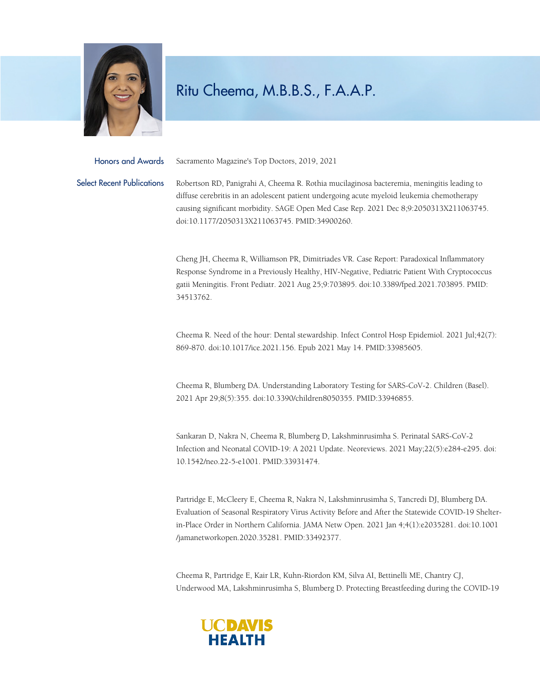

## Ritu Cheema, M.B.B.S., F.A.A.P.

Honors and Awards Sacramento Magazine's Top Doctors, 2019, 2021

Select Recent Publications Robertson RD, Panigrahi A, Cheema R. Rothia mucilaginosa bacteremia, meningitis leading to diffuse cerebritis in an adolescent patient undergoing acute myeloid leukemia chemotherapy causing significant morbidity. SAGE Open Med Case Rep. 2021 Dec 8;9:2050313X211063745. doi:10.1177/2050313X211063745. PMID:34900260.

> Cheng JH, Cheema R, Williamson PR, Dimitriades VR. Case Report: Paradoxical Inflammatory Response Syndrome in a Previously Healthy, HIV-Negative, Pediatric Patient With Cryptococcus gatii Meningitis. Front Pediatr. 2021 Aug 25;9:703895. doi:10.3389/fped.2021.703895. PMID: 34513762.

Cheema R. Need of the hour: Dental stewardship. Infect Control Hosp Epidemiol. 2021 Jul;42(7): 869-870. doi:10.1017/ice.2021.156. Epub 2021 May 14. PMID:33985605.

Cheema R, Blumberg DA. Understanding Laboratory Testing for SARS-CoV-2. Children (Basel). 2021 Apr 29;8(5):355. doi:10.3390/children8050355. PMID:33946855.

Sankaran D, Nakra N, Cheema R, Blumberg D, Lakshminrusimha S. Perinatal SARS-CoV-2 Infection and Neonatal COVID-19: A 2021 Update. Neoreviews. 2021 May;22(5):e284-e295. doi: 10.1542/neo.22-5-e1001. PMID:33931474.

Partridge E, McCleery E, Cheema R, Nakra N, Lakshminrusimha S, Tancredi DJ, Blumberg DA. Evaluation of Seasonal Respiratory Virus Activity Before and After the Statewide COVID-19 Shelterin-Place Order in Northern California. JAMA Netw Open. 2021 Jan 4;4(1):e2035281. doi:10.1001 /jamanetworkopen.2020.35281. PMID:33492377.

Cheema R, Partridge E, Kair LR, Kuhn-Riordon KM, Silva AI, Bettinelli ME, Chantry CJ, Underwood MA, Lakshminrusimha S, Blumberg D. Protecting Breastfeeding during the COVID-19